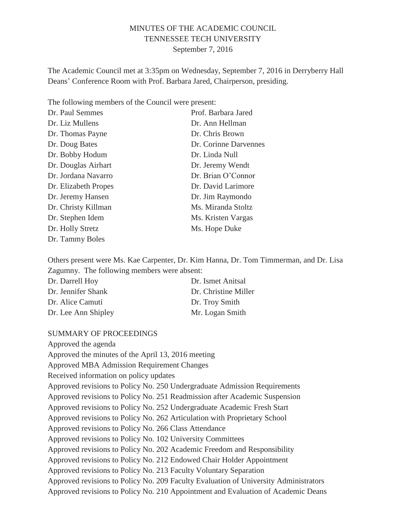### MINUTES OF THE ACADEMIC COUNCIL TENNESSEE TECH UNIVERSITY September 7, 2016

The Academic Council met at 3:35pm on Wednesday, September 7, 2016 in Derryberry Hall Deans' Conference Room with Prof. Barbara Jared, Chairperson, presiding.

The following members of the Council were present:

| Dr. Paul Semmes      | Prof. Barbara Jared   |
|----------------------|-----------------------|
| Dr. Liz Mullens      | Dr. Ann Hellman       |
| Dr. Thomas Payne     | Dr. Chris Brown       |
| Dr. Doug Bates       | Dr. Corinne Darvennes |
| Dr. Bobby Hodum      | Dr. Linda Null        |
| Dr. Douglas Airhart  | Dr. Jeremy Wendt      |
| Dr. Jordana Navarro  | Dr. Brian O'Connor    |
| Dr. Elizabeth Propes | Dr. David Larimore    |
| Dr. Jeremy Hansen    | Dr. Jim Raymondo      |
| Dr. Christy Killman  | Ms. Miranda Stoltz    |
| Dr. Stephen Idem     | Ms. Kristen Vargas    |
| Dr. Holly Stretz     | Ms. Hope Duke         |
| Dr. Tammy Boles      |                       |

Others present were Ms. Kae Carpenter, Dr. Kim Hanna, Dr. Tom Timmerman, and Dr. Lisa Zagumny. The following members were absent:

| Dr. Darrell Hoy     | Dr. Ismet Anitsal    |
|---------------------|----------------------|
| Dr. Jennifer Shank  | Dr. Christine Miller |
| Dr. Alice Camuti    | Dr. Troy Smith       |
| Dr. Lee Ann Shipley | Mr. Logan Smith      |

#### SUMMARY OF PROCEEDINGS

Approved the agenda Approved the minutes of the April 13, 2016 meeting Approved MBA Admission Requirement Changes Received information on policy updates Approved revisions to Policy No. 250 Undergraduate Admission Requirements Approved revisions to Policy No. 251 Readmission after Academic Suspension Approved revisions to Policy No. 252 Undergraduate Academic Fresh Start Approved revisions to Policy No. 262 Articulation with Proprietary School Approved revisions to Policy No. 266 Class Attendance Approved revisions to Policy No. 102 University Committees Approved revisions to Policy No. 202 Academic Freedom and Responsibility Approved revisions to Policy No. 212 Endowed Chair Holder Appointment Approved revisions to Policy No. 213 Faculty Voluntary Separation Approved revisions to Policy No. 209 Faculty Evaluation of University Administrators Approved revisions to Policy No. 210 Appointment and Evaluation of Academic Deans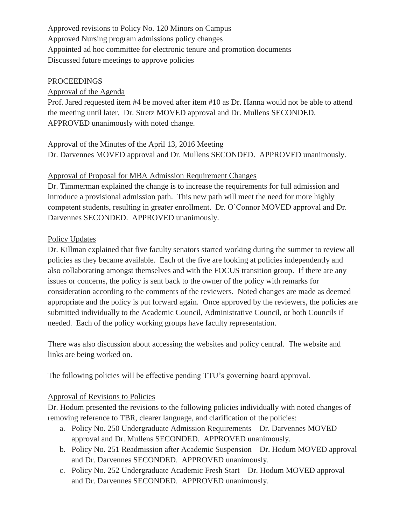Approved revisions to Policy No. 120 Minors on Campus Approved Nursing program admissions policy changes Appointed ad hoc committee for electronic tenure and promotion documents Discussed future meetings to approve policies

#### PROCEEDINGS

### Approval of the Agenda

Prof. Jared requested item #4 be moved after item #10 as Dr. Hanna would not be able to attend the meeting until later. Dr. Stretz MOVED approval and Dr. Mullens SECONDED. APPROVED unanimously with noted change.

Approval of the Minutes of the April 13, 2016 Meeting Dr. Darvennes MOVED approval and Dr. Mullens SECONDED. APPROVED unanimously.

### Approval of Proposal for MBA Admission Requirement Changes

Dr. Timmerman explained the change is to increase the requirements for full admission and introduce a provisional admission path. This new path will meet the need for more highly competent students, resulting in greater enrollment. Dr. O'Connor MOVED approval and Dr. Darvennes SECONDED. APPROVED unanimously.

### Policy Updates

Dr. Killman explained that five faculty senators started working during the summer to review all policies as they became available. Each of the five are looking at policies independently and also collaborating amongst themselves and with the FOCUS transition group. If there are any issues or concerns, the policy is sent back to the owner of the policy with remarks for consideration according to the comments of the reviewers. Noted changes are made as deemed appropriate and the policy is put forward again. Once approved by the reviewers, the policies are submitted individually to the Academic Council, Administrative Council, or both Councils if needed. Each of the policy working groups have faculty representation.

There was also discussion about accessing the websites and policy central. The website and links are being worked on.

The following policies will be effective pending TTU's governing board approval.

#### Approval of Revisions to Policies

Dr. Hodum presented the revisions to the following policies individually with noted changes of removing reference to TBR, clearer language, and clarification of the policies:

- a. Policy No. 250 Undergraduate Admission Requirements Dr. Darvennes MOVED approval and Dr. Mullens SECONDED. APPROVED unanimously.
- b. Policy No. 251 Readmission after Academic Suspension Dr. Hodum MOVED approval and Dr. Darvennes SECONDED. APPROVED unanimously.
- c. Policy No. 252 Undergraduate Academic Fresh Start Dr. Hodum MOVED approval and Dr. Darvennes SECONDED. APPROVED unanimously.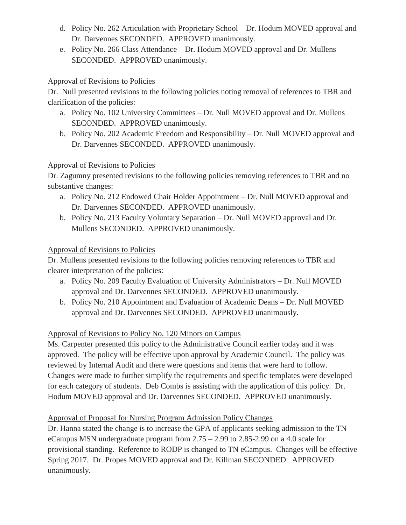- d. Policy No. 262 Articulation with Proprietary School Dr. Hodum MOVED approval and Dr. Darvennes SECONDED. APPROVED unanimously.
- e. Policy No. 266 Class Attendance Dr. Hodum MOVED approval and Dr. Mullens SECONDED. APPROVED unanimously.

## Approval of Revisions to Policies

Dr. Null presented revisions to the following policies noting removal of references to TBR and clarification of the policies:

- a. Policy No. 102 University Committees Dr. Null MOVED approval and Dr. Mullens SECONDED. APPROVED unanimously.
- b. Policy No. 202 Academic Freedom and Responsibility Dr. Null MOVED approval and Dr. Darvennes SECONDED. APPROVED unanimously.

### Approval of Revisions to Policies

Dr. Zagumny presented revisions to the following policies removing references to TBR and no substantive changes:

- a. Policy No. 212 Endowed Chair Holder Appointment Dr. Null MOVED approval and Dr. Darvennes SECONDED. APPROVED unanimously.
- b. Policy No. 213 Faculty Voluntary Separation Dr. Null MOVED approval and Dr. Mullens SECONDED. APPROVED unanimously.

### Approval of Revisions to Policies

Dr. Mullens presented revisions to the following policies removing references to TBR and clearer interpretation of the policies:

- a. Policy No. 209 Faculty Evaluation of University Administrators Dr. Null MOVED approval and Dr. Darvennes SECONDED. APPROVED unanimously.
- b. Policy No. 210 Appointment and Evaluation of Academic Deans Dr. Null MOVED approval and Dr. Darvennes SECONDED. APPROVED unanimously.

# Approval of Revisions to Policy No. 120 Minors on Campus

Ms. Carpenter presented this policy to the Administrative Council earlier today and it was approved. The policy will be effective upon approval by Academic Council. The policy was reviewed by Internal Audit and there were questions and items that were hard to follow. Changes were made to further simplify the requirements and specific templates were developed for each category of students. Deb Combs is assisting with the application of this policy. Dr. Hodum MOVED approval and Dr. Darvennes SECONDED. APPROVED unanimously.

# Approval of Proposal for Nursing Program Admission Policy Changes

Dr. Hanna stated the change is to increase the GPA of applicants seeking admission to the TN eCampus MSN undergraduate program from 2.75 – 2.99 to 2.85-2.99 on a 4.0 scale for provisional standing. Reference to RODP is changed to TN eCampus. Changes will be effective Spring 2017. Dr. Propes MOVED approval and Dr. Killman SECONDED. APPROVED unanimously.